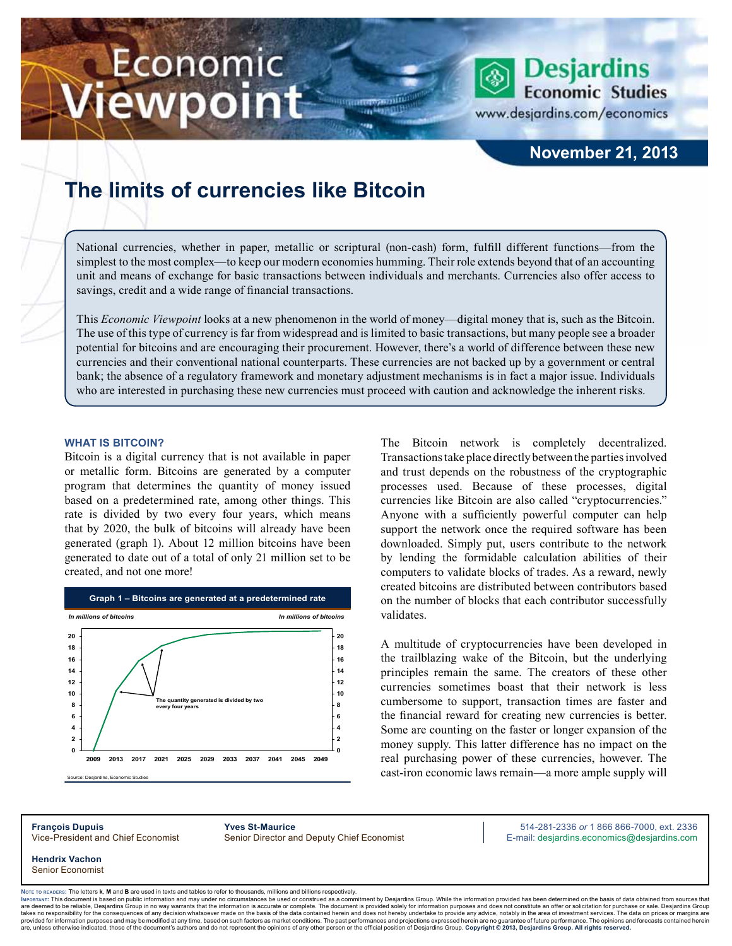# Economic ewpoint

### **November 21, 2013**

**Desjardins Economic Studies** 

www.desjardins.com/economics

## **The limits of currencies like Bitcoin**

National currencies, whether in paper, metallic or scriptural (non-cash) form, fulfill different functions—from the simplest to the most complex—to keep our modern economies humming. Their role extends beyond that of an accounting unit and means of exchange for basic transactions between individuals and merchants. Currencies also offer access to savings, credit and a wide range of financial transactions.

m

This *Economic Viewpoint* looks at a new phenomenon in the world of money—digital money that is, such as the Bitcoin. The use of this type of currency is far from widespread and is limited to basic transactions, but many people see a broader potential for bitcoins and are encouraging their procurement. However, there's a world of difference between these new currencies and their conventional national counterparts. These currencies are not backed up by a government or central bank; the absence of a regulatory framework and monetary adjustment mechanisms is in fact a major issue. Individuals who are interested in purchasing these new currencies must proceed with caution and acknowledge the inherent risks.

#### **What is Bitcoin?**

Bitcoin is a digital currency that is not available in paper or metallic form. Bitcoins are generated by a computer program that determines the quantity of money issued based on a predetermined rate, among other things. This rate is divided by two every four years, which means that by 2020, the bulk of bitcoins will already have been generated (graph 1). About 12 million bitcoins have been generated to date out of a total of only 21 million set to be created, and not one more!



The Bitcoin network is completely decentralized. Transactions take place directly between the parties involved and trust depends on the robustness of the cryptographic processes used. Because of these processes, digital currencies like Bitcoin are also called "cryptocurrencies." Anyone with a sufficiently powerful computer can help support the network once the required software has been downloaded. Simply put, users contribute to the network by lending the formidable calculation abilities of their computers to validate blocks of trades. As a reward, newly created bitcoins are distributed between contributors based on the number of blocks that each contributor successfully validates.

A multitude of cryptocurrencies have been developed in the trailblazing wake of the Bitcoin, but the underlying principles remain the same. The creators of these other currencies sometimes boast that their network is less cumbersome to support, transaction times are faster and the financial reward for creating new currencies is better. Some are counting on the faster or longer expansion of the money supply. This latter difference has no impact on the real purchasing power of these currencies, however. The cast-iron economic laws remain—a more ample supply will

**François Dupuis Yves St-Maurice** 514-281-2336 *or* 1 866 866-7000, ext. 2336 Vice-President and Chief Economist Senior Director and Deputy Chief Economist E-mail: desjardins.economics@desjardins.com

**Hendrix Vachon** Senior Economist

Noте то келоекs: The letters **k, M** and **B** are used in texts and tables to refer to thousands, millions and billions respectively.<br>Імроктлит: This document is based on public information and may under no circumstances be are deemed to be reliable. Desiardins Group in no way warrants that the information is accurate or complete. The document is provided solely for information purposes and does not constitute an offer or solicitation for pur takes no responsibility for the consequences of any decision whatsoever made on the basis of the data contained herein and does not hereby undertake to provide any advice, notably in the area of investment services. The da are, unless otherwise indicated, those of the document's authors and which which cases of a factor same which interests on a the district server interests and projections expressed herein are no guarantee of future perform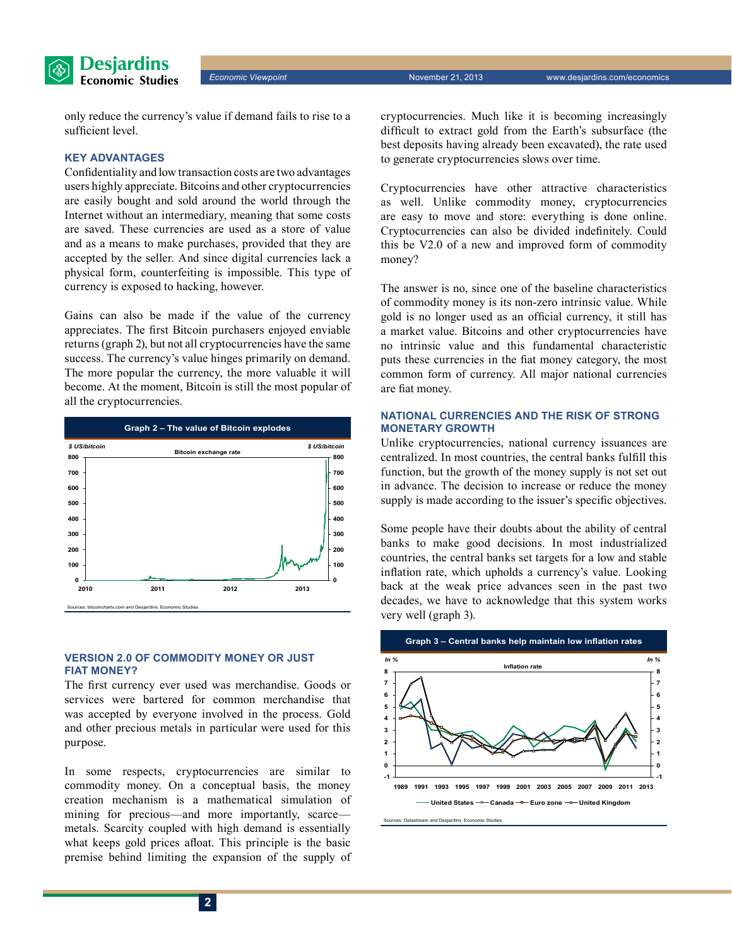**Desjardins Economic Studies** 

only reduce the currency's value if demand fails to rise to a sufficient level.

#### **Key advantages**

Confidentiality and low transaction costs are two advantages users highly appreciate. Bitcoins and other cryptocurrencies are easily bought and sold around the world through the Internet without an intermediary, meaning that some costs are saved. These currencies are used as a store of value and as a means to make purchases, provided that they are accepted by the seller. And since digital currencies lack a physical form, counterfeiting is impossible. This type of currency is exposed to hacking, however.

Gains can also be made if the value of the currency appreciates. The first Bitcoin purchasers enjoyed enviable returns (graph 2), but not all cryptocurrencies have the same success. The currency's value hinges primarily on demand. The more popular the currency, the more valuable it will become. At the moment, Bitcoin is still the most popular of all the cryptocurrencies.



#### **Version 2.0 of commodity money or just fiat money?**

The first currency ever used was merchandise. Goods or services were bartered for common merchandise that was accepted by everyone involved in the process. Gold and other precious metals in particular were used for this purpose.

In some respects, cryptocurrencies are similar to commodity money. On a conceptual basis, the money creation mechanism is a mathematical simulation of mining for precious—and more importantly, scarce metals. Scarcity coupled with high demand is essentially what keeps gold prices afloat. This principle is the basic premise behind limiting the expansion of the supply of

cryptocurrencies. Much like it is becoming increasingly difficult to extract gold from the Earth's subsurface (the best deposits having already been excavated), the rate used to generate cryptocurrencies slows over time.

Cryptocurrencies have other attractive characteristics as well. Unlike commodity money, cryptocurrencies are easy to move and store: everything is done online. Cryptocurrencies can also be divided indefinitely. Could this be V2.0 of a new and improved form of commodity money?

The answer is no, since one of the baseline characteristics of commodity money is its non-zero intrinsic value. While gold is no longer used as an official currency, it still has a market value. Bitcoins and other cryptocurrencies have no intrinsic value and this fundamental characteristic puts these currencies in the fiat money category, the most common form of currency. All major national currencies are fiat money.

#### **National currencies and the risk of strong monetary growth**

Unlike cryptocurrencies, national currency issuances are centralized. In most countries, the central banks fulfill this function, but the growth of the money supply is not set out in advance. The decision to increase or reduce the money supply is made according to the issuer's specific objectives.

Some people have their doubts about the ability of central banks to make good decisions. In most industrialized countries, the central banks set targets for a low and stable inflation rate, which upholds a currency's value. Looking back at the weak price advances seen in the past two decades, we have to acknowledge that this system works very well (graph 3).

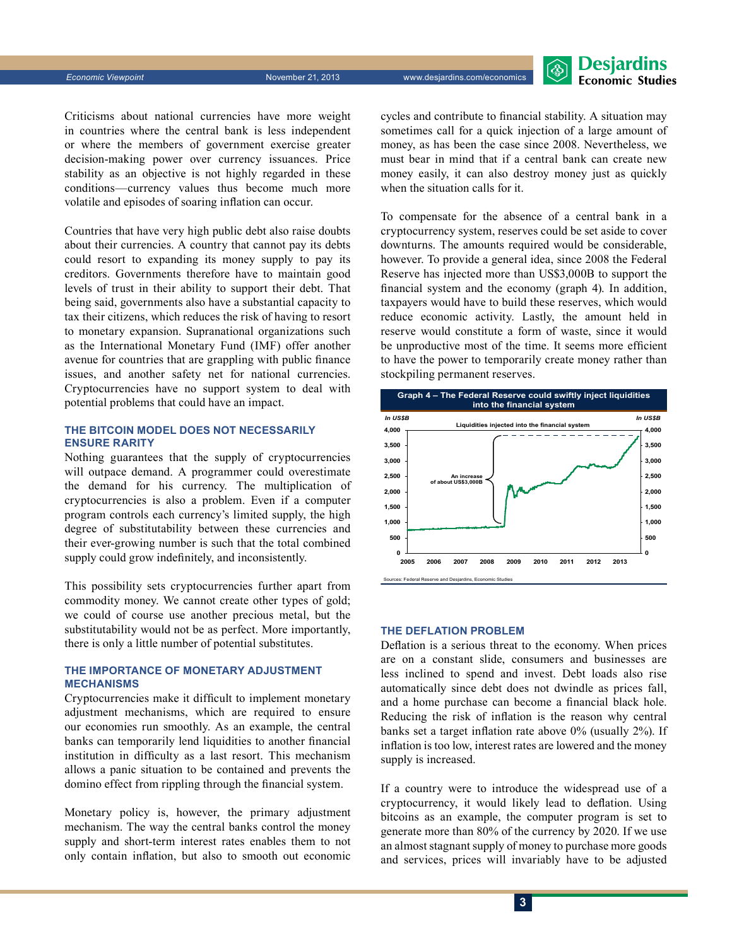**Desjardins Economic Studies** 

Criticisms about national currencies have more weight in countries where the central bank is less independent or where the members of government exercise greater decision-making power over currency issuances. Price stability as an objective is not highly regarded in these conditions—currency values thus become much more volatile and episodes of soaring inflation can occur.

Countries that have very high public debt also raise doubts about their currencies. A country that cannot pay its debts could resort to expanding its money supply to pay its creditors. Governments therefore have to maintain good levels of trust in their ability to support their debt. That being said, governments also have a substantial capacity to tax their citizens, which reduces the risk of having to resort to monetary expansion. Supranational organizations such as the International Monetary Fund (IMF) offer another avenue for countries that are grappling with public finance issues, and another safety net for national currencies. Cryptocurrencies have no support system to deal with potential problems that could have an impact.

#### **The Bitcoin model does not necessarily ensure rarity**

Nothing guarantees that the supply of cryptocurrencies will outpace demand. A programmer could overestimate the demand for his currency. The multiplication of cryptocurrencies is also a problem. Even if a computer program controls each currency's limited supply, the high degree of substitutability between these currencies and their ever-growing number is such that the total combined supply could grow indefinitely, and inconsistently.

This possibility sets cryptocurrencies further apart from commodity money. We cannot create other types of gold; we could of course use another precious metal, but the substitutability would not be as perfect. More importantly, there is only a little number of potential substitutes.

#### **The importance of monetary adjustment mechanisms**

Cryptocurrencies make it difficult to implement monetary adjustment mechanisms, which are required to ensure our economies run smoothly. As an example, the central banks can temporarily lend liquidities to another financial institution in difficulty as a last resort. This mechanism allows a panic situation to be contained and prevents the domino effect from rippling through the financial system.

Monetary policy is, however, the primary adjustment mechanism. The way the central banks control the money supply and short-term interest rates enables them to not only contain inflation, but also to smooth out economic cycles and contribute to financial stability. A situation may sometimes call for a quick injection of a large amount of money, as has been the case since 2008. Nevertheless, we must bear in mind that if a central bank can create new money easily, it can also destroy money just as quickly when the situation calls for it.

To compensate for the absence of a central bank in a cryptocurrency system, reserves could be set aside to cover downturns. The amounts required would be considerable, however. To provide a general idea, since 2008 the Federal Reserve has injected more than US\$3,000B to support the financial system and the economy (graph 4). In addition, taxpayers would have to build these reserves, which would reduce economic activity. Lastly, the amount held in reserve would constitute a form of waste, since it would be unproductive most of the time. It seems more efficient to have the power to temporarily create money rather than stockpiling permanent reserves.



#### **The deflation problem**

Deflation is a serious threat to the economy. When prices are on a constant slide, consumers and businesses are less inclined to spend and invest. Debt loads also rise automatically since debt does not dwindle as prices fall, and a home purchase can become a financial black hole. Reducing the risk of inflation is the reason why central banks set a target inflation rate above 0% (usually 2%). If inflation is too low, interest rates are lowered and the money supply is increased.

If a country were to introduce the widespread use of a cryptocurrency, it would likely lead to deflation. Using bitcoins as an example, the computer program is set to generate more than 80% of the currency by 2020. If we use an almost stagnant supply of money to purchase more goods and services, prices will invariably have to be adjusted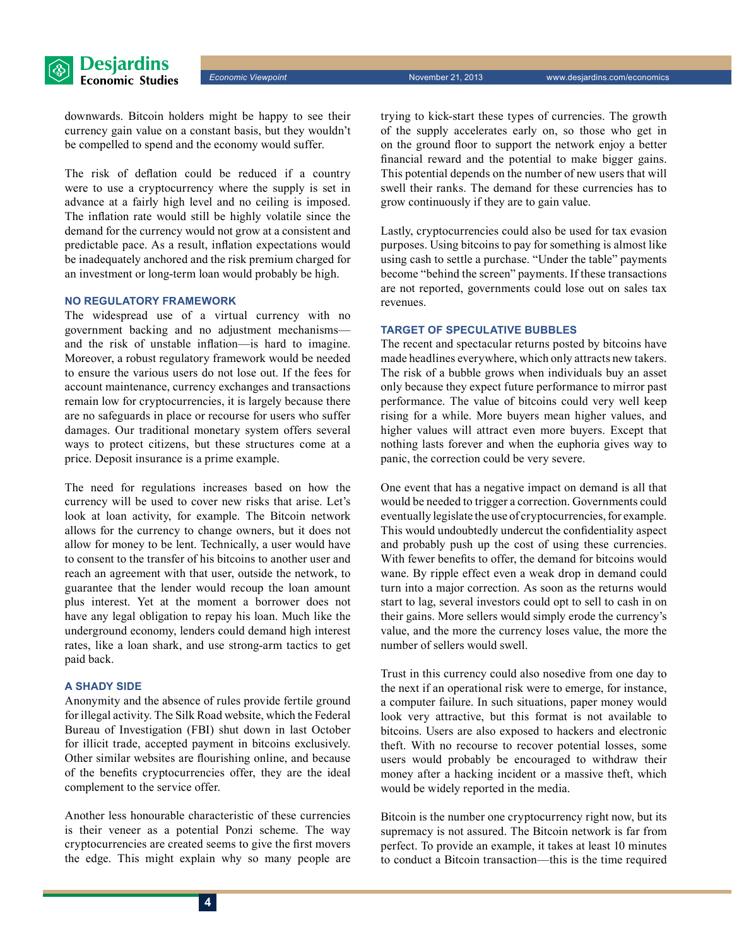

downwards. Bitcoin holders might be happy to see their currency gain value on a constant basis, but they wouldn't be compelled to spend and the economy would suffer.

The risk of deflation could be reduced if a country were to use a cryptocurrency where the supply is set in advance at a fairly high level and no ceiling is imposed. The inflation rate would still be highly volatile since the demand for the currency would not grow at a consistent and predictable pace. As a result, inflation expectations would be inadequately anchored and the risk premium charged for an investment or long-term loan would probably be high.

#### **No regulatory framework**

The widespread use of a virtual currency with no government backing and no adjustment mechanisms and the risk of unstable inflation—is hard to imagine. Moreover, a robust regulatory framework would be needed to ensure the various users do not lose out. If the fees for account maintenance, currency exchanges and transactions remain low for cryptocurrencies, it is largely because there are no safeguards in place or recourse for users who suffer damages. Our traditional monetary system offers several ways to protect citizens, but these structures come at a price. Deposit insurance is a prime example.

The need for regulations increases based on how the currency will be used to cover new risks that arise. Let's look at loan activity, for example. The Bitcoin network allows for the currency to change owners, but it does not allow for money to be lent. Technically, a user would have to consent to the transfer of his bitcoins to another user and reach an agreement with that user, outside the network, to guarantee that the lender would recoup the loan amount plus interest. Yet at the moment a borrower does not have any legal obligation to repay his loan. Much like the underground economy, lenders could demand high interest rates, like a loan shark, and use strong-arm tactics to get paid back.

#### **A shady side**

Anonymity and the absence of rules provide fertile ground for illegal activity. The Silk Road website, which the Federal Bureau of Investigation (FBI) shut down in last October for illicit trade, accepted payment in bitcoins exclusively. Other similar websites are flourishing online, and because of the benefits cryptocurrencies offer, they are the ideal complement to the service offer.

Another less honourable characteristic of these currencies is their veneer as a potential Ponzi scheme. The way cryptocurrencies are created seems to give the first movers the edge. This might explain why so many people are trying to kick-start these types of currencies. The growth of the supply accelerates early on, so those who get in on the ground floor to support the network enjoy a better financial reward and the potential to make bigger gains. This potential depends on the number of new users that will swell their ranks. The demand for these currencies has to grow continuously if they are to gain value.

Lastly, cryptocurrencies could also be used for tax evasion purposes. Using bitcoins to pay for something is almost like using cash to settle a purchase. "Under the table" payments become "behind the screen" payments. If these transactions are not reported, governments could lose out on sales tax revenues.

#### **Target of speculative bubbles**

The recent and spectacular returns posted by bitcoins have made headlines everywhere, which only attracts new takers. The risk of a bubble grows when individuals buy an asset only because they expect future performance to mirror past performance. The value of bitcoins could very well keep rising for a while. More buyers mean higher values, and higher values will attract even more buyers. Except that nothing lasts forever and when the euphoria gives way to panic, the correction could be very severe.

One event that has a negative impact on demand is all that would be needed to trigger a correction. Governments could eventually legislate the use of cryptocurrencies, for example. This would undoubtedly undercut the confidentiality aspect and probably push up the cost of using these currencies. With fewer benefits to offer, the demand for bitcoins would wane. By ripple effect even a weak drop in demand could turn into a major correction. As soon as the returns would start to lag, several investors could opt to sell to cash in on their gains. More sellers would simply erode the currency's value, and the more the currency loses value, the more the number of sellers would swell.

Trust in this currency could also nosedive from one day to the next if an operational risk were to emerge, for instance, a computer failure. In such situations, paper money would look very attractive, but this format is not available to bitcoins. Users are also exposed to hackers and electronic theft. With no recourse to recover potential losses, some users would probably be encouraged to withdraw their money after a hacking incident or a massive theft, which would be widely reported in the media.

Bitcoin is the number one cryptocurrency right now, but its supremacy is not assured. The Bitcoin network is far from perfect. To provide an example, it takes at least 10 minutes to conduct a Bitcoin transaction—this is the time required